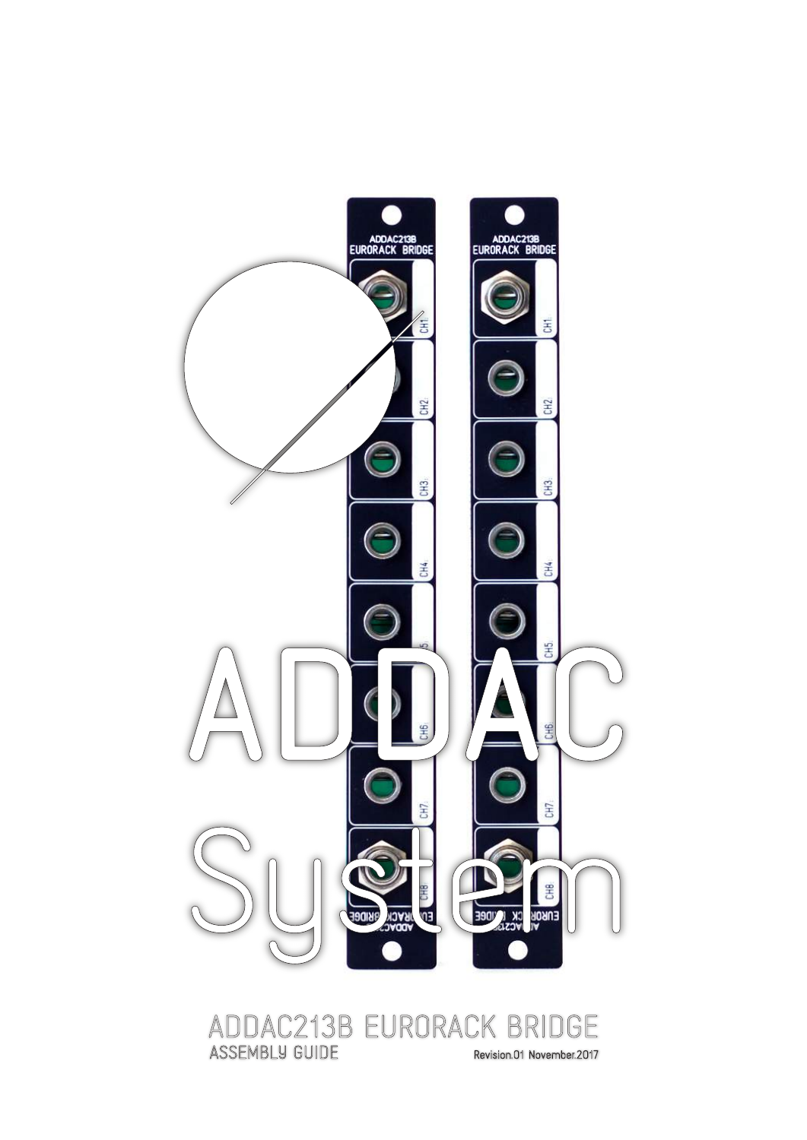

# ADDAC213B EURORACK BRIDGE<br>ASSEMBLY GUIDE Revision.01 November.2017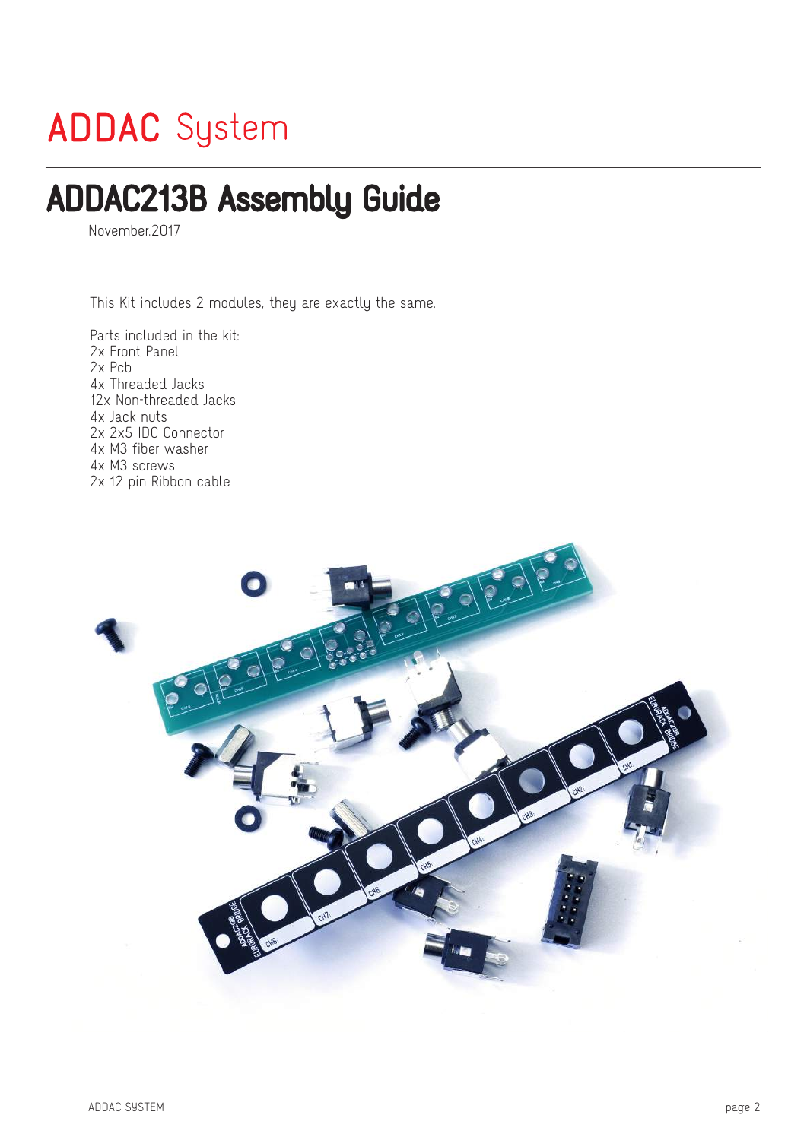## **ADDAC** System

### ADDAC213B Assembly Guide

November.2017

This Kit includes 2 modules, they are exactly the same.

Parts included in the kit: 2x Front Panel 2x Pcb 4x Threaded Jacks 12x Non-threaded Jacks 4x Jack nuts 2x 2x5 IDC Connector 4x M3 fiber washer 4x M3 screws 2x 12 pin Ribbon cable

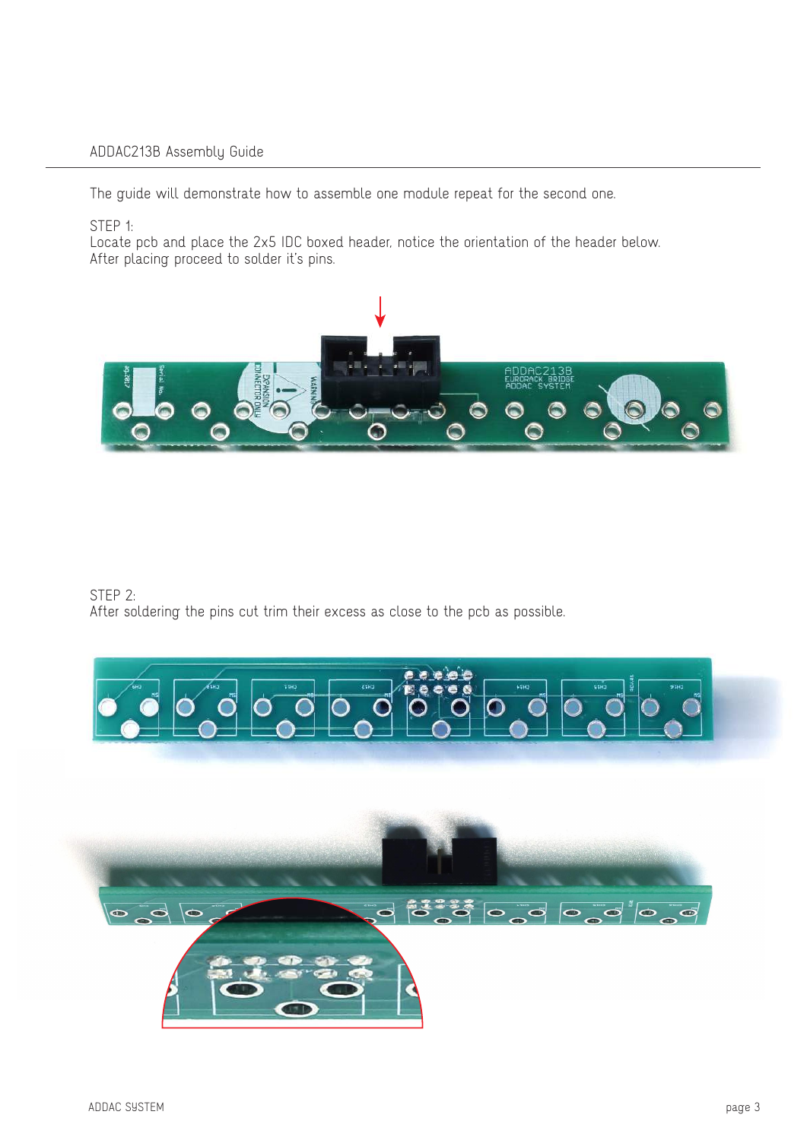The guide will demonstrate how to assemble one module repeat for the second one.

STEP 1:

Locate pcb and place the 2x5 IDC boxed header, notice the orientation of the header below. After placing proceed to solder it's pins.



STEP 2: After soldering the pins cut trim their excess as close to the pcb as possible.



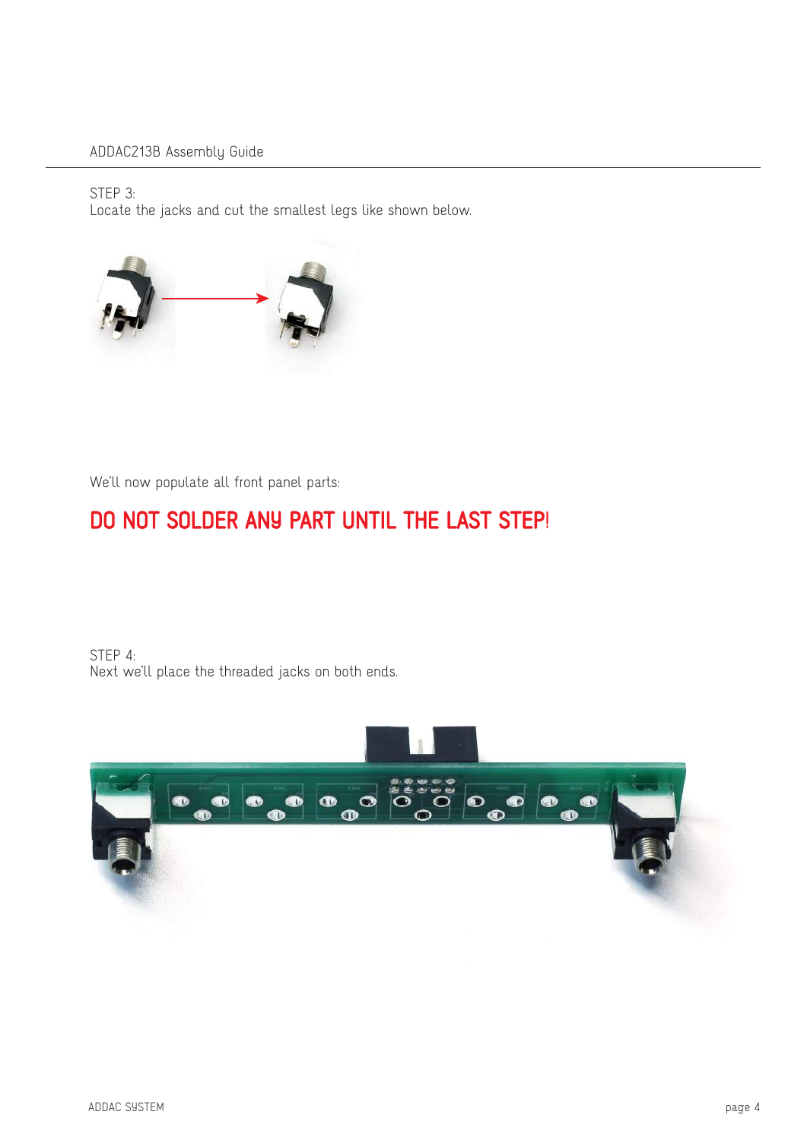STEP 3:

Locate the jacks and cut the smallest legs like shown below.



We'll now populate all front panel parts:

### DO NOT SOLDER ANY PART UNTIL THE LAST STEP!

STEP 4: Next we'll place the threaded jacks on both ends.

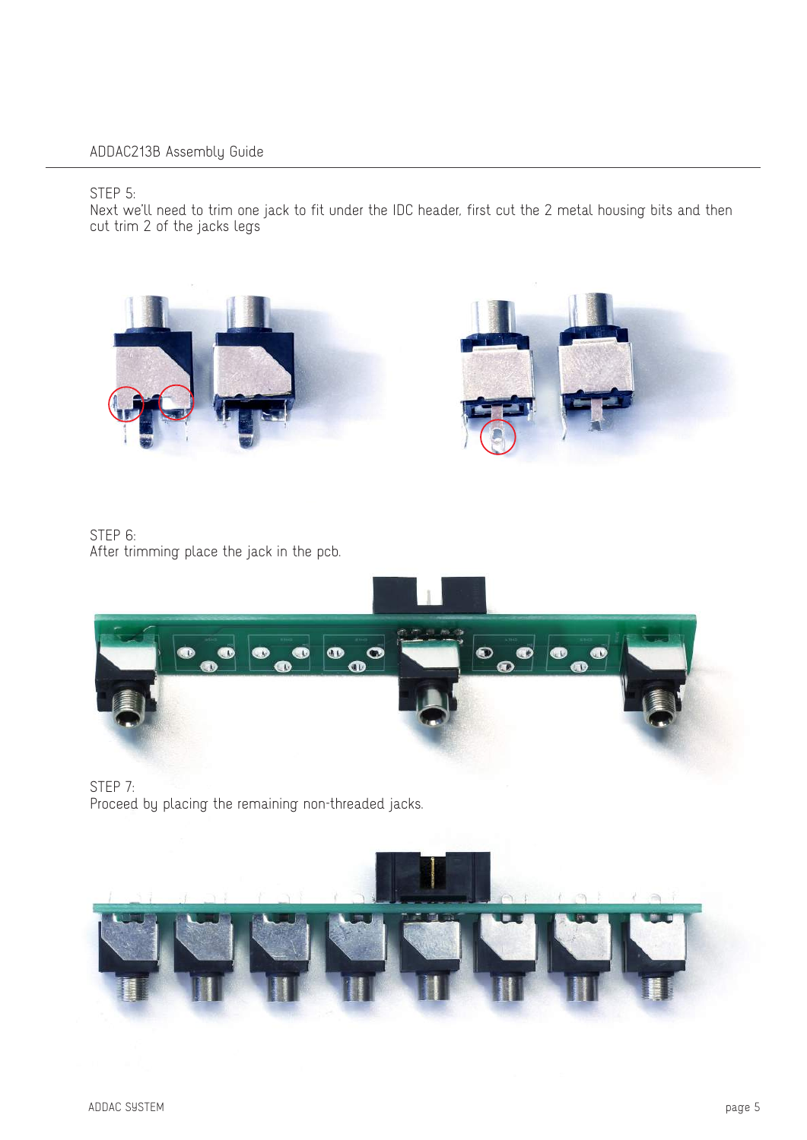STEP 5:

Next we'll need to trim one jack to fit under the IDC header, first cut the 2 metal housing bits and then cut trim 2 of the jacks legs





STEP 6: After trimming place the jack in the pcb.



STEP 7: Proceed by placing the remaining non-threaded jacks.

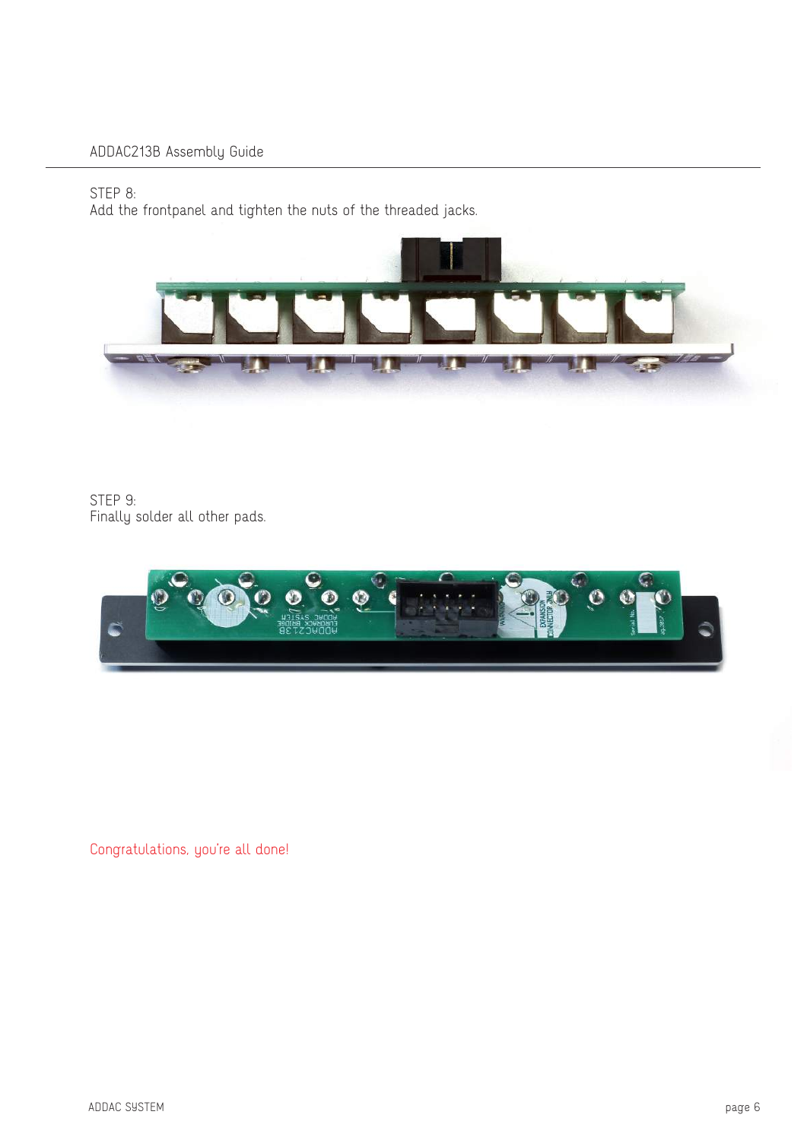#### STEP 8:

Add the frontpanel and tighten the nuts of the threaded jacks.



STEP 9: Finally solder all other pads.



Congratulations, you're all done!